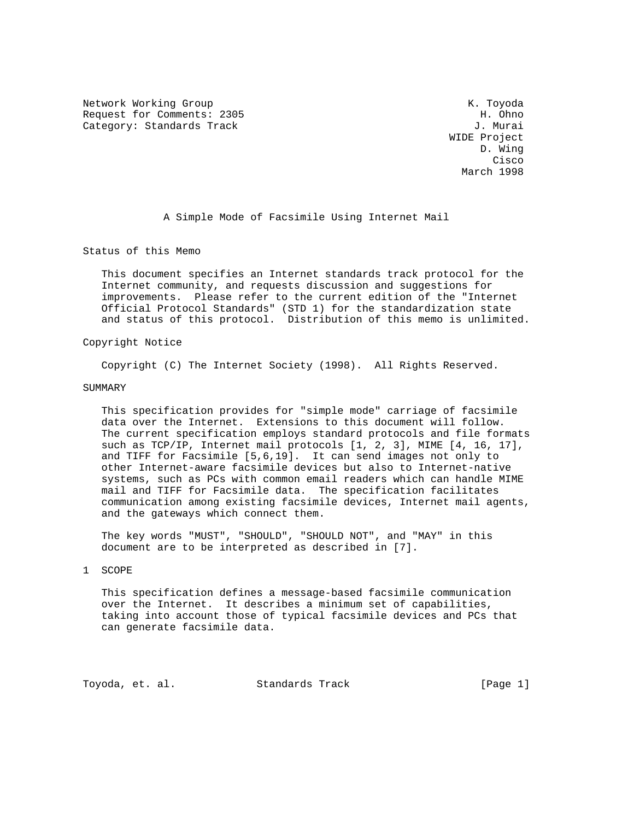Network Working Group Network Working Group Network K. Toyoda Request for Comments: 2305 H. Ohno Category: Standards Track J. Murai

 WIDE Project D. Wing **Cisco Calculation of the Cisco Cisco Cisco** March 1998

A Simple Mode of Facsimile Using Internet Mail

Status of this Memo

 This document specifies an Internet standards track protocol for the Internet community, and requests discussion and suggestions for improvements. Please refer to the current edition of the "Internet Official Protocol Standards" (STD 1) for the standardization state and status of this protocol. Distribution of this memo is unlimited.

# Copyright Notice

Copyright (C) The Internet Society (1998). All Rights Reserved.

### SUMMARY

 This specification provides for "simple mode" carriage of facsimile data over the Internet. Extensions to this document will follow. The current specification employs standard protocols and file formats such as TCP/IP, Internet mail protocols [1, 2, 3], MIME [4, 16, 17], and TIFF for Facsimile [5,6,19]. It can send images not only to other Internet-aware facsimile devices but also to Internet-native systems, such as PCs with common email readers which can handle MIME mail and TIFF for Facsimile data. The specification facilitates communication among existing facsimile devices, Internet mail agents, and the gateways which connect them.

 The key words "MUST", "SHOULD", "SHOULD NOT", and "MAY" in this document are to be interpreted as described in [7].

#### 1 SCOPE

 This specification defines a message-based facsimile communication over the Internet. It describes a minimum set of capabilities, taking into account those of typical facsimile devices and PCs that can generate facsimile data.

Toyoda, et. al. Standards Track [Page 1]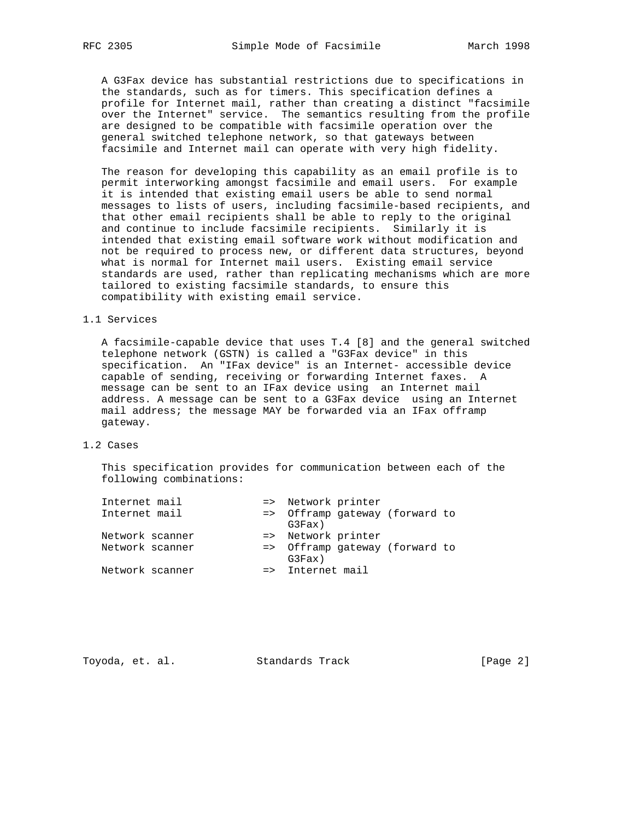A G3Fax device has substantial restrictions due to specifications in the standards, such as for timers. This specification defines a profile for Internet mail, rather than creating a distinct "facsimile over the Internet" service. The semantics resulting from the profile are designed to be compatible with facsimile operation over the general switched telephone network, so that gateways between facsimile and Internet mail can operate with very high fidelity.

 The reason for developing this capability as an email profile is to permit interworking amongst facsimile and email users. For example it is intended that existing email users be able to send normal messages to lists of users, including facsimile-based recipients, and that other email recipients shall be able to reply to the original and continue to include facsimile recipients. Similarly it is intended that existing email software work without modification and not be required to process new, or different data structures, beyond what is normal for Internet mail users. Existing email service standards are used, rather than replicating mechanisms which are more tailored to existing facsimile standards, to ensure this compatibility with existing email service.

### 1.1 Services

 A facsimile-capable device that uses T.4 [8] and the general switched telephone network (GSTN) is called a "G3Fax device" in this specification. An "IFax device" is an Internet- accessible device capable of sending, receiving or forwarding Internet faxes. A message can be sent to an IFax device using an Internet mail address. A message can be sent to a G3Fax device using an Internet mail address; the message MAY be forwarded via an IFax offramp gateway.

# 1.2 Cases

 This specification provides for communication between each of the following combinations:

| Internet mail   |  |                    | => Network printer |                                |  |
|-----------------|--|--------------------|--------------------|--------------------------------|--|
| Internet mail   |  | G3Fax)             |                    | => Offramp gateway (forward to |  |
| Network scanner |  | => Network printer |                    |                                |  |
| Network scanner |  | G3Fax)             |                    | => Offramp gateway (forward to |  |
| Network scanner |  | => Internet mail   |                    |                                |  |

| [Page 2]<br>Standards Track<br>Toyoda, et. al. |  |  |  |
|------------------------------------------------|--|--|--|
|------------------------------------------------|--|--|--|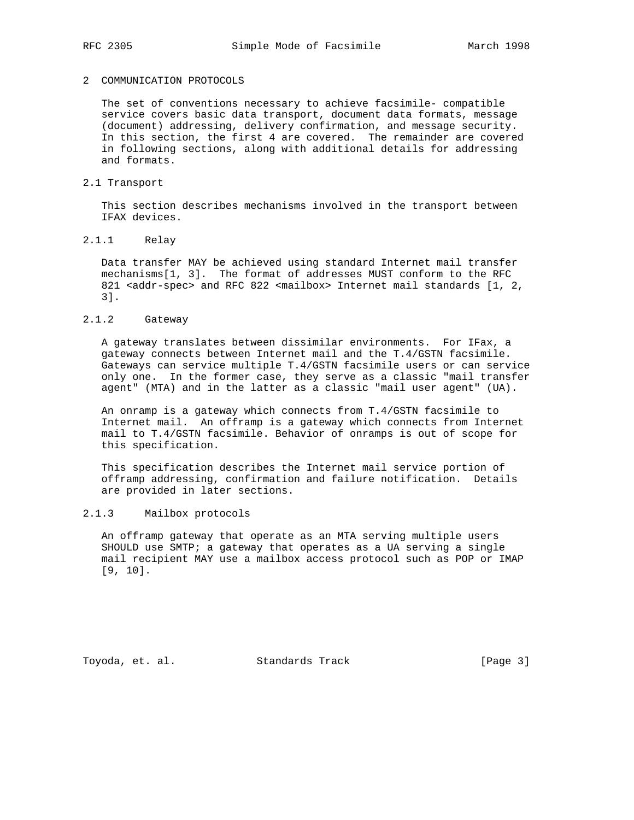## 2 COMMUNICATION PROTOCOLS

 The set of conventions necessary to achieve facsimile- compatible service covers basic data transport, document data formats, message (document) addressing, delivery confirmation, and message security. In this section, the first 4 are covered. The remainder are covered in following sections, along with additional details for addressing and formats.

# 2.1 Transport

 This section describes mechanisms involved in the transport between IFAX devices.

# 2.1.1 Relay

 Data transfer MAY be achieved using standard Internet mail transfer mechanisms[1, 3]. The format of addresses MUST conform to the RFC 821 <addr-spec> and RFC 822 <mailbox> Internet mail standards [1, 2, 3].

# 2.1.2 Gateway

 A gateway translates between dissimilar environments. For IFax, a gateway connects between Internet mail and the T.4/GSTN facsimile. Gateways can service multiple T.4/GSTN facsimile users or can service only one. In the former case, they serve as a classic "mail transfer agent" (MTA) and in the latter as a classic "mail user agent" (UA).

 An onramp is a gateway which connects from T.4/GSTN facsimile to Internet mail. An offramp is a gateway which connects from Internet mail to T.4/GSTN facsimile. Behavior of onramps is out of scope for this specification.

 This specification describes the Internet mail service portion of offramp addressing, confirmation and failure notification. Details are provided in later sections.

# 2.1.3 Mailbox protocols

 An offramp gateway that operate as an MTA serving multiple users SHOULD use SMTP; a gateway that operates as a UA serving a single mail recipient MAY use a mailbox access protocol such as POP or IMAP [9, 10].

Toyoda, et. al. Standards Track [Page 3]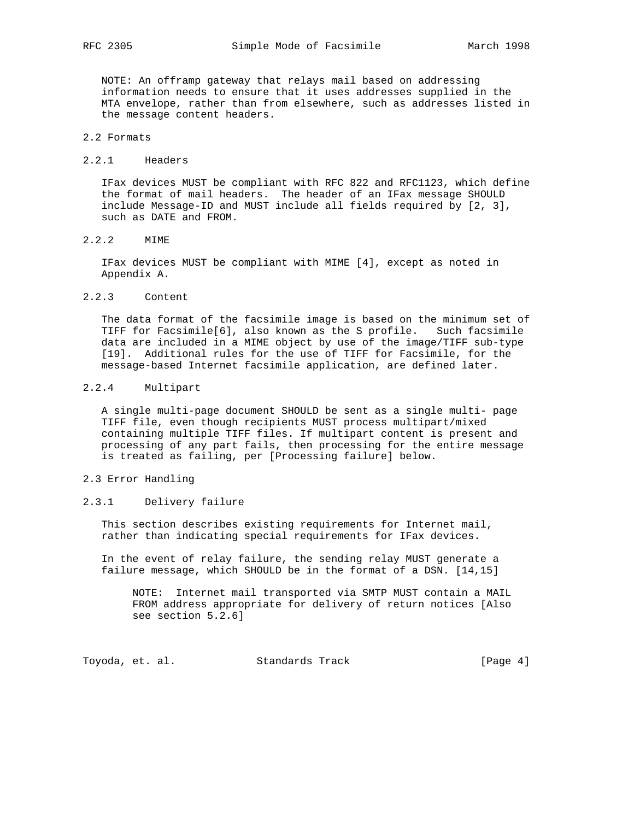NOTE: An offramp gateway that relays mail based on addressing information needs to ensure that it uses addresses supplied in the MTA envelope, rather than from elsewhere, such as addresses listed in the message content headers.

- 2.2 Formats
- 2.2.1 Headers

 IFax devices MUST be compliant with RFC 822 and RFC1123, which define the format of mail headers. The header of an IFax message SHOULD include Message-ID and MUST include all fields required by [2, 3], such as DATE and FROM.

2.2.2 MIME

 IFax devices MUST be compliant with MIME [4], except as noted in Appendix A.

2.2.3 Content

 The data format of the facsimile image is based on the minimum set of TIFF for Facsimile[6], also known as the S profile. Such facsimile data are included in a MIME object by use of the image/TIFF sub-type [19]. Additional rules for the use of TIFF for Facsimile, for the message-based Internet facsimile application, are defined later.

### 2.2.4 Multipart

 A single multi-page document SHOULD be sent as a single multi- page TIFF file, even though recipients MUST process multipart/mixed containing multiple TIFF files. If multipart content is present and processing of any part fails, then processing for the entire message is treated as failing, per [Processing failure] below.

- 2.3 Error Handling
- 2.3.1 Delivery failure

 This section describes existing requirements for Internet mail, rather than indicating special requirements for IFax devices.

 In the event of relay failure, the sending relay MUST generate a failure message, which SHOULD be in the format of a DSN. [14,15]

 NOTE: Internet mail transported via SMTP MUST contain a MAIL FROM address appropriate for delivery of return notices [Also see section 5.2.6]

Toyoda, et. al. Standards Track [Page 4]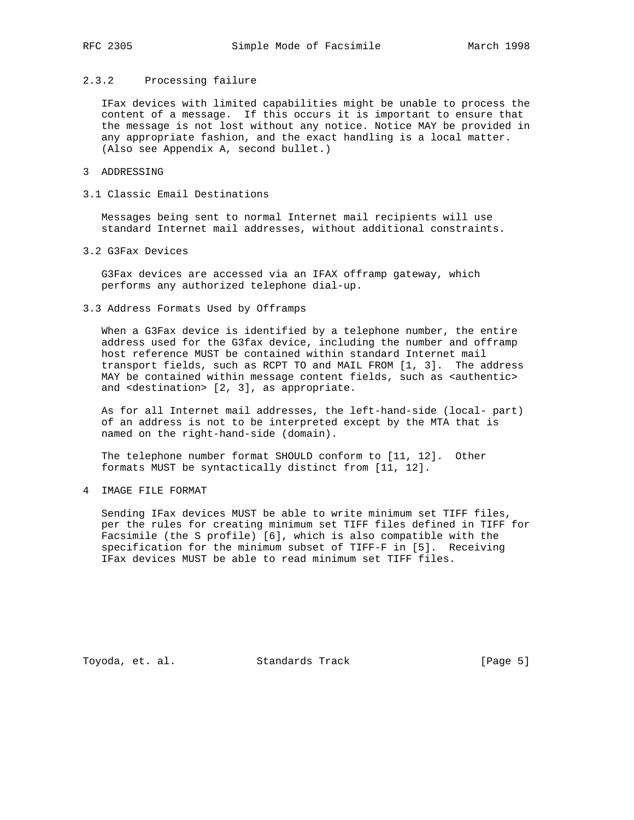# 2.3.2 Processing failure

 IFax devices with limited capabilities might be unable to process the content of a message. If this occurs it is important to ensure that the message is not lost without any notice. Notice MAY be provided in any appropriate fashion, and the exact handling is a local matter. (Also see Appendix A, second bullet.)

# 3 ADDRESSING

3.1 Classic Email Destinations

 Messages being sent to normal Internet mail recipients will use standard Internet mail addresses, without additional constraints.

3.2 G3Fax Devices

 G3Fax devices are accessed via an IFAX offramp gateway, which performs any authorized telephone dial-up.

3.3 Address Formats Used by Offramps

 When a G3Fax device is identified by a telephone number, the entire address used for the G3fax device, including the number and offramp host reference MUST be contained within standard Internet mail transport fields, such as RCPT TO and MAIL FROM [1, 3]. The address MAY be contained within message content fields, such as <authentic> and <destination> [2, 3], as appropriate.

 As for all Internet mail addresses, the left-hand-side (local- part) of an address is not to be interpreted except by the MTA that is named on the right-hand-side (domain).

 The telephone number format SHOULD conform to [11, 12]. Other formats MUST be syntactically distinct from [11, 12].

4 IMAGE FILE FORMAT

 Sending IFax devices MUST be able to write minimum set TIFF files, per the rules for creating minimum set TIFF files defined in TIFF for Facsimile (the S profile) [6], which is also compatible with the specification for the minimum subset of TIFF-F in [5]. Receiving IFax devices MUST be able to read minimum set TIFF files.

Toyoda, et. al. Standards Track [Page 5]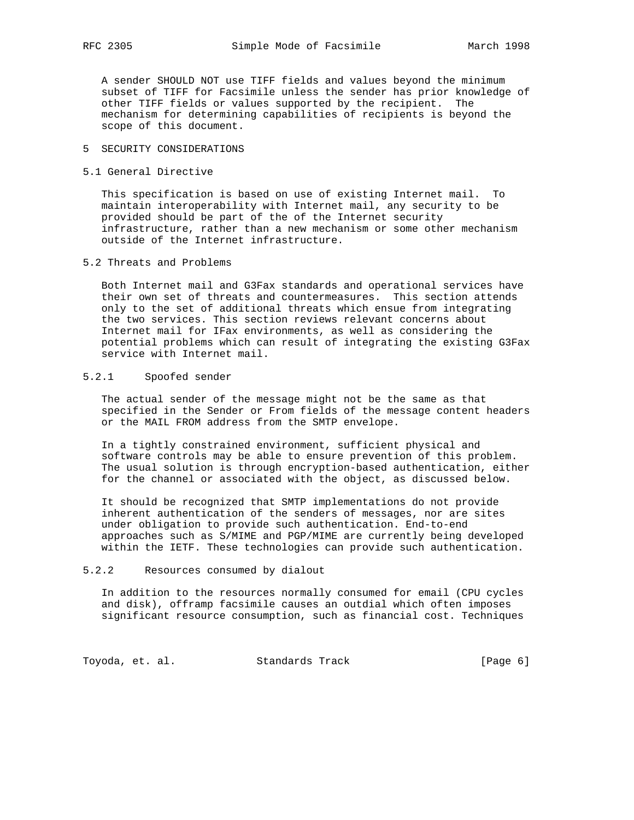A sender SHOULD NOT use TIFF fields and values beyond the minimum subset of TIFF for Facsimile unless the sender has prior knowledge of other TIFF fields or values supported by the recipient. The mechanism for determining capabilities of recipients is beyond the scope of this document.

# 5 SECURITY CONSIDERATIONS

5.1 General Directive

 This specification is based on use of existing Internet mail. To maintain interoperability with Internet mail, any security to be provided should be part of the of the Internet security infrastructure, rather than a new mechanism or some other mechanism outside of the Internet infrastructure.

### 5.2 Threats and Problems

 Both Internet mail and G3Fax standards and operational services have their own set of threats and countermeasures. This section attends only to the set of additional threats which ensue from integrating the two services. This section reviews relevant concerns about Internet mail for IFax environments, as well as considering the potential problems which can result of integrating the existing G3Fax service with Internet mail.

# 5.2.1 Spoofed sender

 The actual sender of the message might not be the same as that specified in the Sender or From fields of the message content headers or the MAIL FROM address from the SMTP envelope.

 In a tightly constrained environment, sufficient physical and software controls may be able to ensure prevention of this problem. The usual solution is through encryption-based authentication, either for the channel or associated with the object, as discussed below.

 It should be recognized that SMTP implementations do not provide inherent authentication of the senders of messages, nor are sites under obligation to provide such authentication. End-to-end approaches such as S/MIME and PGP/MIME are currently being developed within the IETF. These technologies can provide such authentication.

#### 5.2.2 Resources consumed by dialout

 In addition to the resources normally consumed for email (CPU cycles and disk), offramp facsimile causes an outdial which often imposes significant resource consumption, such as financial cost. Techniques

Toyoda, et. al. Standards Track (Page 6)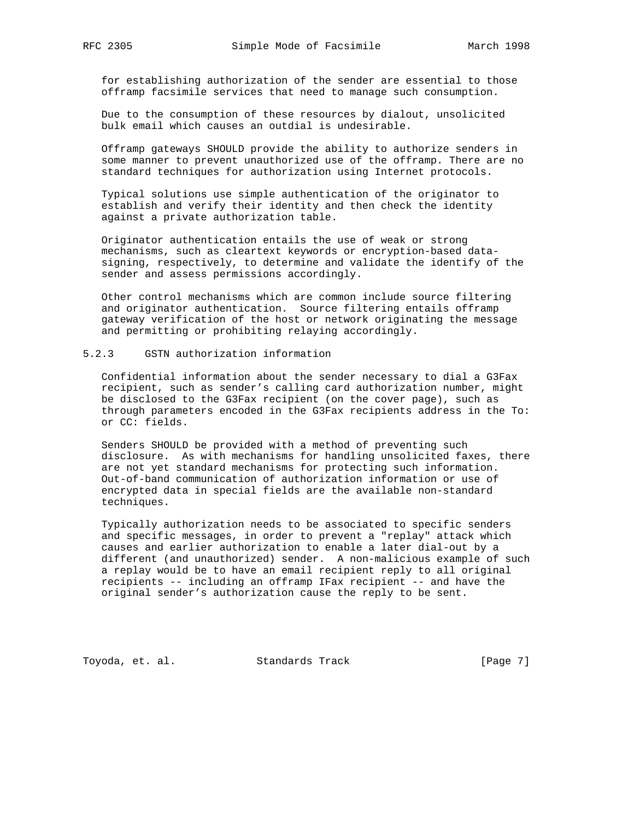for establishing authorization of the sender are essential to those offramp facsimile services that need to manage such consumption.

 Due to the consumption of these resources by dialout, unsolicited bulk email which causes an outdial is undesirable.

 Offramp gateways SHOULD provide the ability to authorize senders in some manner to prevent unauthorized use of the offramp. There are no standard techniques for authorization using Internet protocols.

 Typical solutions use simple authentication of the originator to establish and verify their identity and then check the identity against a private authorization table.

 Originator authentication entails the use of weak or strong mechanisms, such as cleartext keywords or encryption-based data signing, respectively, to determine and validate the identify of the sender and assess permissions accordingly.

 Other control mechanisms which are common include source filtering and originator authentication. Source filtering entails offramp gateway verification of the host or network originating the message and permitting or prohibiting relaying accordingly.

# 5.2.3 GSTN authorization information

 Confidential information about the sender necessary to dial a G3Fax recipient, such as sender's calling card authorization number, might be disclosed to the G3Fax recipient (on the cover page), such as through parameters encoded in the G3Fax recipients address in the To: or CC: fields.

 Senders SHOULD be provided with a method of preventing such disclosure. As with mechanisms for handling unsolicited faxes, there are not yet standard mechanisms for protecting such information. Out-of-band communication of authorization information or use of encrypted data in special fields are the available non-standard techniques.

 Typically authorization needs to be associated to specific senders and specific messages, in order to prevent a "replay" attack which causes and earlier authorization to enable a later dial-out by a different (and unauthorized) sender. A non-malicious example of such a replay would be to have an email recipient reply to all original recipients -- including an offramp IFax recipient -- and have the original sender's authorization cause the reply to be sent.

Toyoda, et. al. Standards Track [Page 7]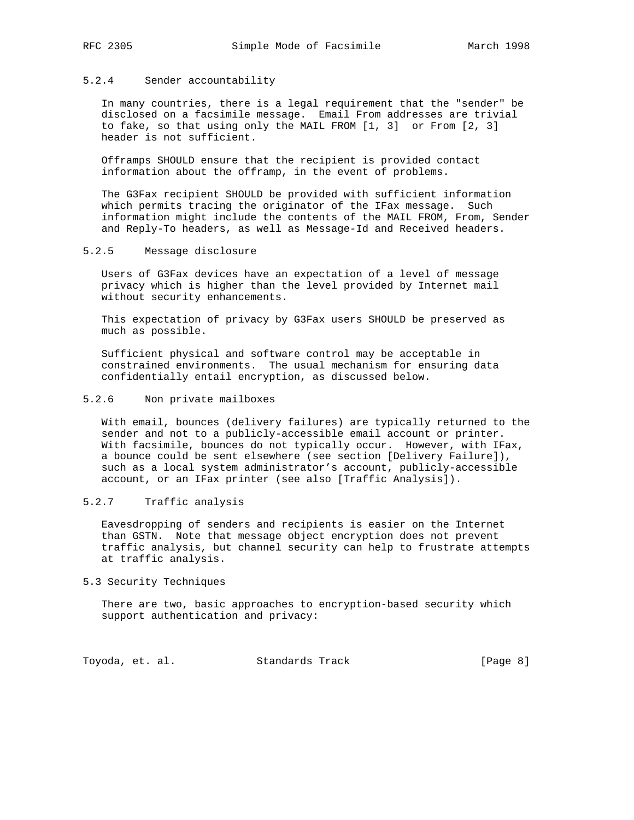# 5.2.4 Sender accountability

 In many countries, there is a legal requirement that the "sender" be disclosed on a facsimile message. Email From addresses are trivial to fake, so that using only the MAIL FROM [1, 3] or From [2, 3] header is not sufficient.

 Offramps SHOULD ensure that the recipient is provided contact information about the offramp, in the event of problems.

 The G3Fax recipient SHOULD be provided with sufficient information which permits tracing the originator of the IFax message. Such information might include the contents of the MAIL FROM, From, Sender and Reply-To headers, as well as Message-Id and Received headers.

### 5.2.5 Message disclosure

 Users of G3Fax devices have an expectation of a level of message privacy which is higher than the level provided by Internet mail without security enhancements.

 This expectation of privacy by G3Fax users SHOULD be preserved as much as possible.

 Sufficient physical and software control may be acceptable in constrained environments. The usual mechanism for ensuring data confidentially entail encryption, as discussed below.

### 5.2.6 Non private mailboxes

 With email, bounces (delivery failures) are typically returned to the sender and not to a publicly-accessible email account or printer. With facsimile, bounces do not typically occur. However, with IFax, a bounce could be sent elsewhere (see section [Delivery Failure]), such as a local system administrator's account, publicly-accessible account, or an IFax printer (see also [Traffic Analysis]).

# 5.2.7 Traffic analysis

 Eavesdropping of senders and recipients is easier on the Internet than GSTN. Note that message object encryption does not prevent traffic analysis, but channel security can help to frustrate attempts at traffic analysis.

## 5.3 Security Techniques

 There are two, basic approaches to encryption-based security which support authentication and privacy:

Toyoda, et. al. Standards Track [Page 8]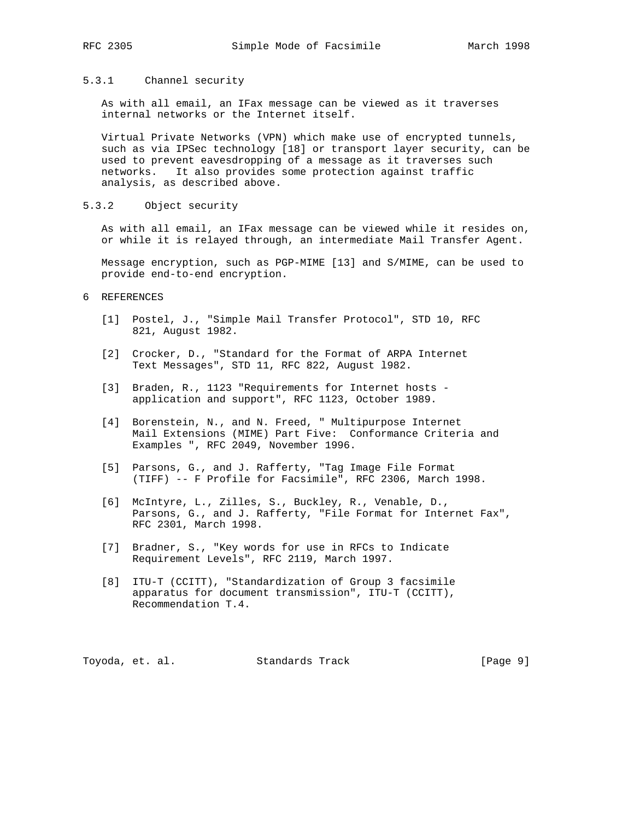# 5.3.1 Channel security

 As with all email, an IFax message can be viewed as it traverses internal networks or the Internet itself.

 Virtual Private Networks (VPN) which make use of encrypted tunnels, such as via IPSec technology [18] or transport layer security, can be used to prevent eavesdropping of a message as it traverses such networks. It also provides some protection against traffic analysis, as described above.

# 5.3.2 Object security

 As with all email, an IFax message can be viewed while it resides on, or while it is relayed through, an intermediate Mail Transfer Agent.

 Message encryption, such as PGP-MIME [13] and S/MIME, can be used to provide end-to-end encryption.

- 6 REFERENCES
	- [1] Postel, J., "Simple Mail Transfer Protocol", STD 10, RFC 821, August 1982.
	- [2] Crocker, D., "Standard for the Format of ARPA Internet Text Messages", STD 11, RFC 822, August l982.
	- [3] Braden, R., 1123 "Requirements for Internet hosts application and support", RFC 1123, October 1989.
	- [4] Borenstein, N., and N. Freed, " Multipurpose Internet Mail Extensions (MIME) Part Five: Conformance Criteria and Examples ", RFC 2049, November 1996.
	- [5] Parsons, G., and J. Rafferty, "Tag Image File Format (TIFF) -- F Profile for Facsimile", RFC 2306, March 1998.
	- [6] McIntyre, L., Zilles, S., Buckley, R., Venable, D., Parsons, G., and J. Rafferty, "File Format for Internet Fax", RFC 2301, March 1998.
	- [7] Bradner, S., "Key words for use in RFCs to Indicate Requirement Levels", RFC 2119, March 1997.
	- [8] ITU-T (CCITT), "Standardization of Group 3 facsimile apparatus for document transmission", ITU-T (CCITT), Recommendation T.4.

Toyoda, et. al. Standards Track [Page 9]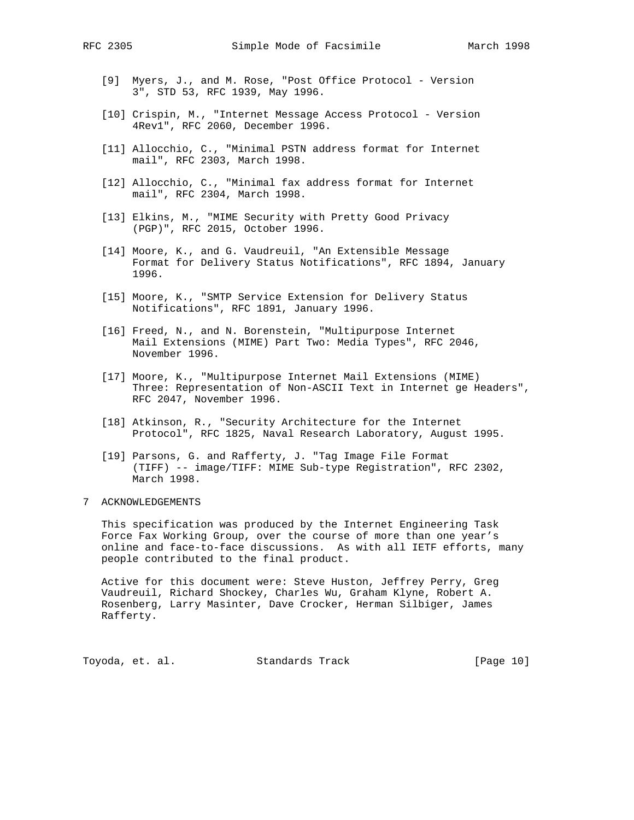- [9] Myers, J., and M. Rose, "Post Office Protocol Version 3", STD 53, RFC 1939, May 1996.
- [10] Crispin, M., "Internet Message Access Protocol Version 4Rev1", RFC 2060, December 1996.
- [11] Allocchio, C., "Minimal PSTN address format for Internet mail", RFC 2303, March 1998.
- [12] Allocchio, C., "Minimal fax address format for Internet mail", RFC 2304, March 1998.
- [13] Elkins, M., "MIME Security with Pretty Good Privacy (PGP)", RFC 2015, October 1996.
- [14] Moore, K., and G. Vaudreuil, "An Extensible Message Format for Delivery Status Notifications", RFC 1894, January 1996.
- [15] Moore, K., "SMTP Service Extension for Delivery Status Notifications", RFC 1891, January 1996.
- [16] Freed, N., and N. Borenstein, "Multipurpose Internet Mail Extensions (MIME) Part Two: Media Types", RFC 2046, November 1996.
- [17] Moore, K., "Multipurpose Internet Mail Extensions (MIME) Three: Representation of Non-ASCII Text in Internet ge Headers", RFC 2047, November 1996.
- [18] Atkinson, R., "Security Architecture for the Internet Protocol", RFC 1825, Naval Research Laboratory, August 1995.
- [19] Parsons, G. and Rafferty, J. "Tag Image File Format (TIFF) -- image/TIFF: MIME Sub-type Registration", RFC 2302, March 1998.
- 7 ACKNOWLEDGEMENTS

 This specification was produced by the Internet Engineering Task Force Fax Working Group, over the course of more than one year's online and face-to-face discussions. As with all IETF efforts, many people contributed to the final product.

 Active for this document were: Steve Huston, Jeffrey Perry, Greg Vaudreuil, Richard Shockey, Charles Wu, Graham Klyne, Robert A. Rosenberg, Larry Masinter, Dave Crocker, Herman Silbiger, James Rafferty.

Toyoda, et. al. Standards Track [Page 10]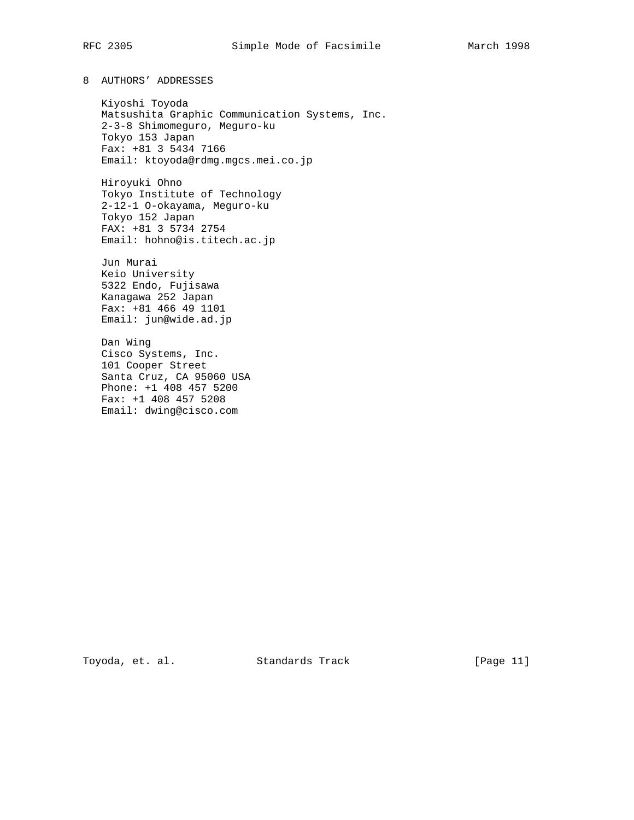8 AUTHORS' ADDRESSES

 Kiyoshi Toyoda Matsushita Graphic Communication Systems, Inc. 2-3-8 Shimomeguro, Meguro-ku Tokyo 153 Japan Fax: +81 3 5434 7166 Email: ktoyoda@rdmg.mgcs.mei.co.jp

 Hiroyuki Ohno Tokyo Institute of Technology 2-12-1 O-okayama, Meguro-ku Tokyo 152 Japan FAX: +81 3 5734 2754 Email: hohno@is.titech.ac.jp

 Jun Murai Keio University 5322 Endo, Fujisawa Kanagawa 252 Japan Fax: +81 466 49 1101 Email: jun@wide.ad.jp

 Dan Wing Cisco Systems, Inc. 101 Cooper Street Santa Cruz, CA 95060 USA Phone: +1 408 457 5200 Fax: +1 408 457 5208 Email: dwing@cisco.com

Toyoda, et. al. Standards Track [Page 11]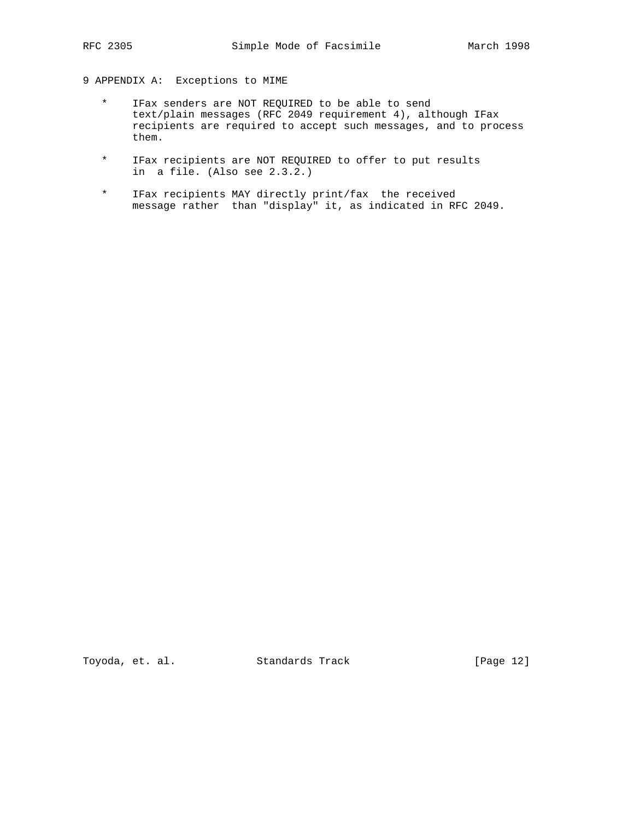# 9 APPENDIX A: Exceptions to MIME

- \* IFax senders are NOT REQUIRED to be able to send text/plain messages (RFC 2049 requirement 4), although IFax recipients are required to accept such messages, and to process them.
- \* IFax recipients are NOT REQUIRED to offer to put results in a file. (Also see 2.3.2.)
- \* IFax recipients MAY directly print/fax the received message rather than "display" it, as indicated in RFC 2049.

Toyoda, et. al. Standards Track [Page 12]